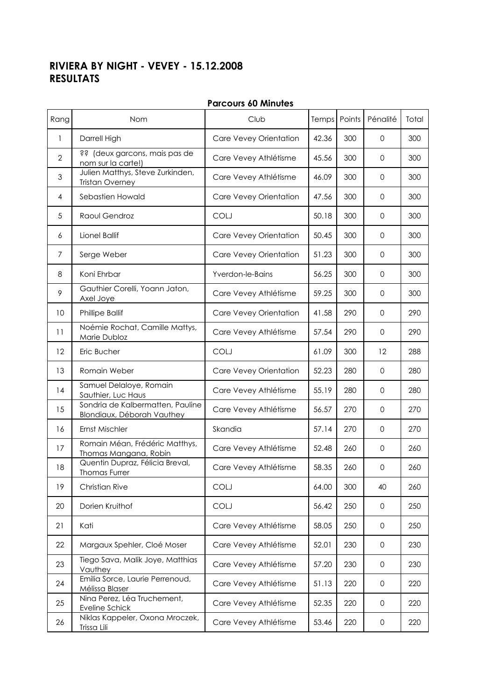## RIVIERA BY NIGHT - VEVEY - 15.12.2008 RESULTATS

| Rang           | Nom                                                            | Club                   |       | Temps Points | Pénalité            | Total |
|----------------|----------------------------------------------------------------|------------------------|-------|--------------|---------------------|-------|
| 1              | Darrell High                                                   | Care Vevey Orientation | 42.36 | 300          | 0                   | 300   |
| $\overline{2}$ | ?? (deux garcons, mais pas de<br>nom sur la carte!)            | Care Vevey Athlétisme  | 45.56 | 300          | 0                   | 300   |
| 3              | Julien Matthys, Steve Zurkinden,<br><b>Tristan Overney</b>     | Care Vevey Athlétisme  | 46.09 | 300          | 0                   | 300   |
| 4              | Sebastien Howald                                               | Care Vevey Orientation | 47.56 | 300          | $\mathbf 0$         | 300   |
| 5              | Raoul Gendroz                                                  | <b>COLJ</b>            | 50.18 | 300          | $\mathbf 0$         | 300   |
| 6              | Lionel Ballif                                                  | Care Vevey Orientation | 50.45 | 300          | 0                   | 300   |
| 7              | Serge Weber                                                    | Care Vevey Orientation | 51.23 | 300          | $\mathbf{O}$        | 300   |
| 8              | Koni Ehrbar                                                    | Yverdon-le-Bains       | 56.25 | 300          | $\Omega$            | 300   |
| 9              | Gauthier Corelli, Yoann Jaton,<br>Axel Joye                    | Care Vevey Athlétisme  | 59.25 | 300          | $\mathbf 0$         | 300   |
| 10             | <b>Phillipe Ballif</b>                                         | Care Vevey Orientation | 41.58 | 290          | 0                   | 290   |
| 11             | Noémie Rochat, Camille Mattys,<br>Marie Dubloz                 | Care Vevey Athlétisme  | 57.54 | 290          | 0                   | 290   |
| 12             | Eric Bucher                                                    | <b>COLJ</b>            | 61.09 | 300          | 12                  | 288   |
| 13             | Romain Weber                                                   | Care Vevey Orientation | 52.23 | 280          | $\mathbf 0$         | 280   |
| 14             | Samuel Delaloye, Romain<br>Sauthier, Luc Haus                  | Care Vevey Athlétisme  | 55.19 | 280          | 0                   | 280   |
| 15             | Sondria de Kalbermatten, Pauline<br>Blondiaux, Déborah Vauthey | Care Vevey Athlétisme  | 56.57 | 270          | $\mathbf{O}$        | 270   |
| 16             | Ernst Mischler                                                 | Skandia                | 57.14 | 270          | $\mathbf{O}$        | 270   |
| 17             | Romain Méan, Frédéric Matthys,<br>Thomas Mangana, Robin        | Care Vevey Athlétisme  | 52.48 | 260          | $\mathbf{0}$        | 260   |
| 18             | Quentin Dupraz, Félicia Breval,<br><b>Thomas Furrer</b>        | Care Vevey Athlétisme  | 58.35 | 260          | 0                   | 260   |
| 19             | Christian Rive                                                 | COLJ                   | 64.00 | 300          | 40                  | 260   |
| 20             | Dorien Kruithof                                                | COLJ                   | 56.42 | 250          | 0                   | 250   |
| 21             | Kati                                                           | Care Vevey Athlétisme  | 58.05 | 250          | $\mathbf{0}$        | 250   |
| 22             | Margaux Spehler, Cloé Moser                                    | Care Vevey Athlétisme  | 52.01 | 230          | 0                   | 230   |
| 23             | Tiego Sava, Malik Joye, Matthias<br>Vauthey                    | Care Vevey Athlétisme  | 57.20 | 230          | 0                   | 230   |
| 24             | Emilia Sorce, Laurie Perrenoud,<br>Mélissa Blaser              | Care Vevey Athlétisme  | 51.13 | 220          | 0                   | 220   |
| 25             | Nina Perez, Léa Truchement,<br>Eveline Schick                  | Care Vevey Athlétisme  | 52.35 | 220          | 0                   | 220   |
| 26             | Niklas Kappeler, Oxona Mroczek,<br>Trissa Lili                 | Care Vevey Athlétisme  | 53.46 | 220          | $\mathsf{O}\xspace$ | 220   |